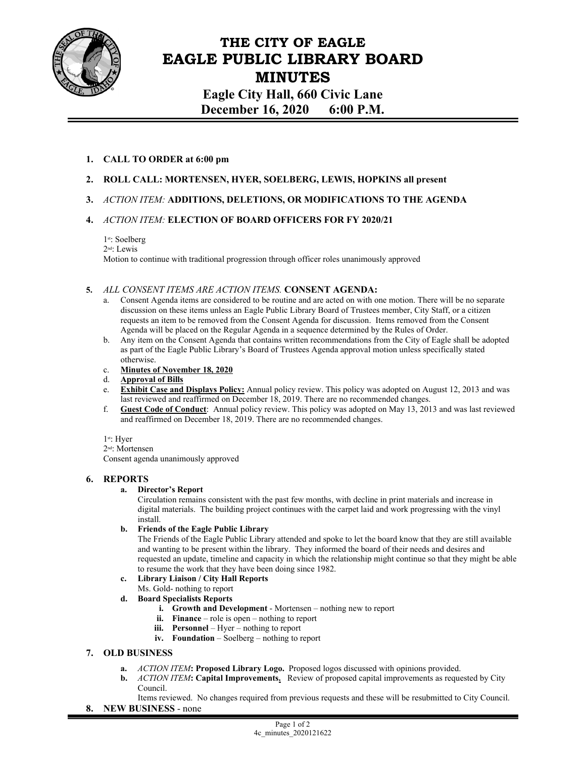

# **THE CITY OF EAGLE EAGLE PUBLIC LIBRARY BOARD MINUTES**

**Eagle City Hall, 660 Civic Lane December 16, 2020 6:00 P.M.** 

## **1. CALL TO ORDER at 6:00 pm**

- **2. ROLL CALL: MORTENSEN, HYER, SOELBERG, LEWIS, HOPKINS all present**
- **3.** *ACTION ITEM:* **ADDITIONS, DELETIONS, OR MODIFICATIONS TO THE AGENDA**

## **4.** *ACTION ITEM:* **ELECTION OF BOARD OFFICERS FOR FY 2020/21**

2nd: Lewis

Motion to continue with traditional progression through officer roles unanimously approved

## **5.** *ALL CONSENT ITEMS ARE ACTION ITEMS.* **CONSENT AGENDA:**

- Consent Agenda items are considered to be routine and are acted on with one motion. There will be no separate discussion on these items unless an Eagle Public Library Board of Trustees member, City Staff, or a citizen requests an item to be removed from the Consent Agenda for discussion. Items removed from the Consent Agenda will be placed on the Regular Agenda in a sequence determined by the Rules of Order.
- b. Any item on the Consent Agenda that contains written recommendations from the City of Eagle shall be adopted as part of the Eagle Public Library's Board of Trustees Agenda approval motion unless specifically stated otherwise.
- c. **Minutes of November 18, 2020**
- d. **Approval of Bills**
- e. **Exhibit Case and Displays Policy:** Annual policy review. This policy was adopted on August 12, 2013 and was last reviewed and reaffirmed on December 18, 2019. There are no recommended changes.
- f. **Guest Code of Conduct**: Annual policy review. This policy was adopted on May 13, 2013 and was last reviewed and reaffirmed on December 18, 2019. There are no recommended changes.

1st: Hyer

2nd: Mortensen

Consent agenda unanimously approved

## **6. REPORTS**

#### **a. Director's Report**

Circulation remains consistent with the past few months, with decline in print materials and increase in digital materials. The building project continues with the carpet laid and work progressing with the vinyl install.

#### **b. Friends of the Eagle Public Library**

The Friends of the Eagle Public Library attended and spoke to let the board know that they are still available and wanting to be present within the library. They informed the board of their needs and desires and requested an update, timeline and capacity in which the relationship might continue so that they might be able to resume the work that they have been doing since 1982.

#### **c. Library Liaison / City Hall Reports**

- Ms. Gold- nothing to report
- **d. Board Specialists Reports** 
	- **i. Growth and Development**  Mortensen nothing new to report
	- **ii. Finance** role is open nothing to report
	- **iii. Personnel** Hyer nothing to report
	- **iv. Foundation** Soelberg nothing to report

## **7. OLD BUSINESS**

- **a.** *ACTION ITEM***: Proposed Library Logo.** Proposed logos discussed with opinions provided.
- **b.** *ACTION ITEM***: Capital Improvements.** Review of proposed capital improvements as requested by City Council.
- Items reviewed. No changes required from previous requests and these will be resubmitted to City Council.
- **8. NEW BUSINESS** none

<sup>1</sup>st: Soelberg